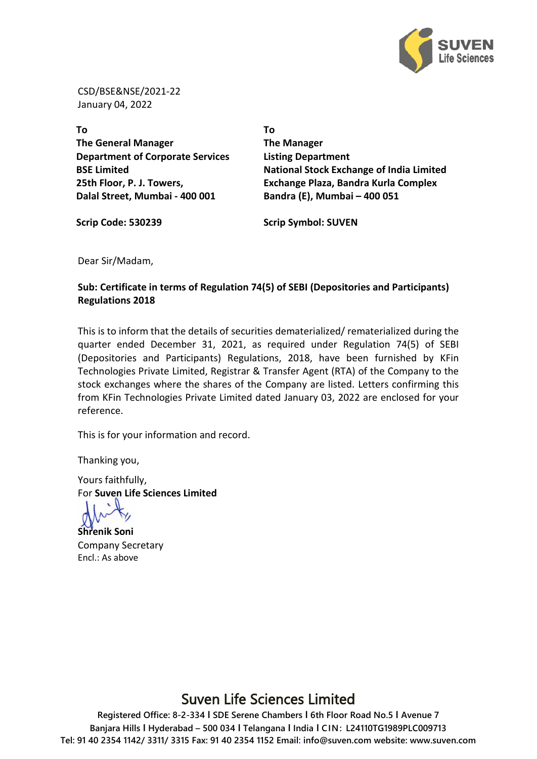

CSD/BSE&NSE/2021-22 January 04, 2022

**To The General Manager Department of Corporate Services BSE Limited 25th Floor, P. J. Towers, Dalal Street, Mumbai - 400 001**

**To The Manager Listing Department National Stock Exchange of India Limited Exchange Plaza, Bandra Kurla Complex Bandra (E), Mumbai – 400 051**

**Scrip Code: 530239 Scrip Symbol: SUVEN**

Dear Sir/Madam,

**Sub: Certificate in terms of Regulation 74(5) of SEBI (Depositories and Participants) Regulations 2018**  . . . . . . . . . . . . . . . . . .

This is to inform that the details of securities dematerialized/ rematerialized during the quarter ended December 31, 2021, as required under Regulation 74(5) of SEBI (Depositories and Participants) Regulations, 2018, have been furnished by KFin Technologies Private Limited, Registrar & Transfer Agent (RTA) of the Company to the stock exchanges where the shares of the Company are listed. Letters confirming this from KFin Technologies Private Limited dated January 03, 2022 are enclosed for your reference.

This is for your information and record.

Thanking you,

Yours faithfully, For **Suven Life Sciences Limited**

**Shrenik Soni** Company Secretary Encl.: As above

## Suven Life Sciences Limited

**Registered Office: 8-2-334 I SDE Serene Chambers I 6th Floor Road No.5 I Avenue 7 Banjara Hills I Hyderabad – 500 034 I Telangana I India I CIN: L24110TG1989PLC009713 Tel: 91 40 2354 1142/ 3311/ 3315 Fax: 91 40 2354 1152 Email: info@suven.com website: www.suven.com**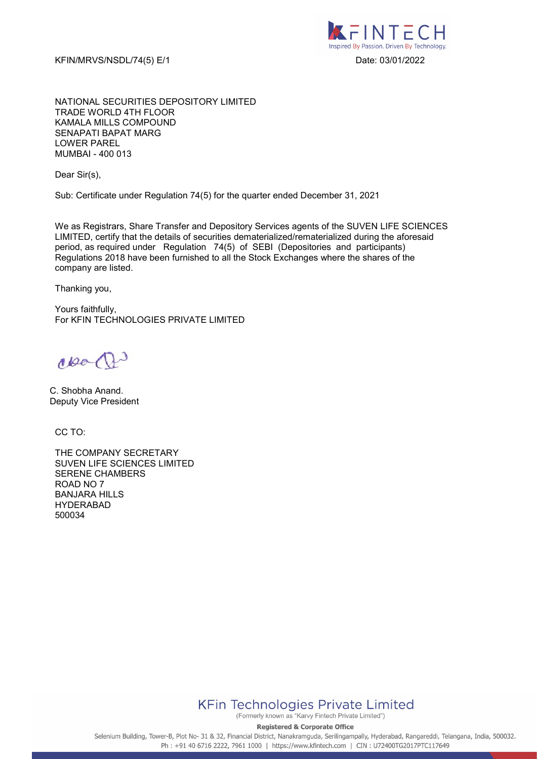KFIN/MRVS/NSDL/74(5) E/1 Date: 03/01/2022



NATIONAL SECURITIES DEPOSITORY LIMITED TRADE WORLD 4TH FLOOR KAMALA MILLS COMPOUND SENAPATI BAPAT MARG LOWER PAREL MUMBAI - 400 013

Dear Sir(s),

Sub: Certificate under Regulation 74(5) for the quarter ended December 31, 2021

We as Registrars, Share Transfer and Depository Services agents of the SUVEN LIFE SCIENCES LIMITED, certify that the details of securities dematerialized/rematerialized during the aforesaid period, as required under Regulation 74(5) of SEBI (Depositories and participants) Regulations 2018 have been furnished to all the Stock Exchanges where the shares of the company are listed.

Thanking you,

Yours faithfully, For KFIN TECHNOLOGIES PRIVATE LIMITED

coo (f)

C. Shobha Anand. Deputy Vice President

CC TO:

THE COMPANY SECRETARY SUVEN LIFE SCIENCES LIMITED SERENE CHAMBERS ROAD NO 7 BANJARA HILLS HYDERABAD 500034



(Formerly known as "Karvy Fintech Private Limited")

**Registered & Corporate Office** 

Selenium Building, Tower-B, Plot No- 31 & 32, Financial District, Nanakramguda, Serilingampally, Hyderabad, Rangareddi, Telangana, India, 500032. Ph: +91 40 6716 2222, 7961 1000 | https://www.kfintech.com | CIN: U72400TG2017PTC117649